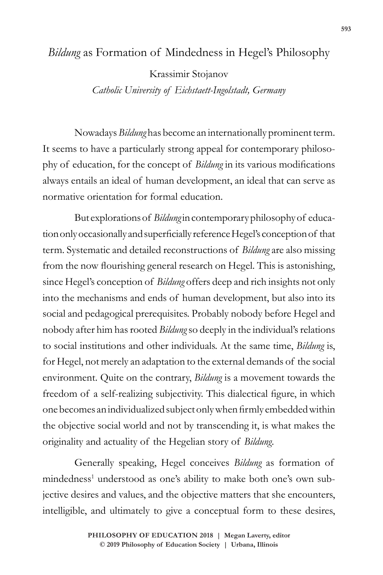### *Bildung* as Formation of Mindedness in Hegel's Philosophy

Krassimir Stojanov *Catholic University of Eichstaett-Ingolstadt, Germany*

Nowadays *Bildung* has become an internationally prominent term. It seems to have a particularly strong appeal for contemporary philosophy of education, for the concept of *Bildung* in its various modifications always entails an ideal of human development, an ideal that can serve as normative orientation for formal education.

But explorations of *Bildung* in contemporary philosophy of education only occasionally and superficially reference Hegel's conception of that term. Systematic and detailed reconstructions of *Bildung* are also missing from the now flourishing general research on Hegel. This is astonishing, since Hegel's conception of *Bildung* offers deep and rich insights not only into the mechanisms and ends of human development, but also into its social and pedagogical prerequisites. Probably nobody before Hegel and nobody after him has rooted *Bildung* so deeply in the individual's relations to social institutions and other individuals. At the same time, *Bildung* is, for Hegel, not merely an adaptation to the external demands of the social environment. Quite on the contrary, *Bildung* is a movement towards the freedom of a self-realizing subjectivity. This dialectical figure, in which one becomes an individualized subject only when firmly embedded within the objective social world and not by transcending it, is what makes the originality and actuality of the Hegelian story of *Bildung*.

Generally speaking, Hegel conceives *Bildung* as formation of mindedness<sup>1</sup> understood as one's ability to make both one's own subjective desires and values, and the objective matters that she encounters, intelligible, and ultimately to give a conceptual form to these desires,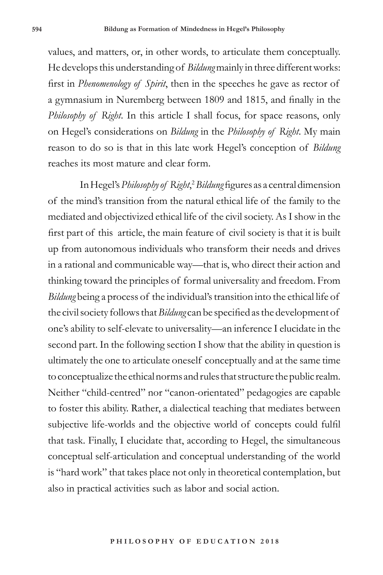values, and matters, or, in other words, to articulate them conceptually. He develops this understanding of *Bildung* mainly in three different works: first in *Phenomenology of Spirit*, then in the speeches he gave as rector of a gymnasium in Nuremberg between 1809 and 1815, and finally in the *Philosophy of Right*. In this article I shall focus, for space reasons, only on Hegel's considerations on *Bildung* in the *Philosophy of Right*. My main reason to do so is that in this late work Hegel's conception of *Bildung* reaches its most mature and clear form.

In Hegel's *Philosophy of Right*, <sup>2</sup>*Bildung* figures as a central dimension of the mind's transition from the natural ethical life of the family to the mediated and objectivized ethical life of the civil society. As I show in the first part of this article, the main feature of civil society is that it is built up from autonomous individuals who transform their needs and drives in a rational and communicable way—that is, who direct their action and thinking toward the principles of formal universality and freedom. From *Bildung* being a process of the individual's transition into the ethical life of the civil society follows that *Bildung* can be specified as the development of one's ability to self-elevate to universality—an inference I elucidate in the second part. In the following section I show that the ability in question is ultimately the one to articulate oneself conceptually and at the same time to conceptualize the ethical norms and rules that structure the public realm. Neither "child-centred" nor "canon-orientated" pedagogies are capable to foster this ability. Rather, a dialectical teaching that mediates between subjective life-worlds and the objective world of concepts could fulfil that task. Finally, I elucidate that, according to Hegel, the simultaneous conceptual self-articulation and conceptual understanding of the world is "hard work" that takes place not only in theoretical contemplation, but also in practical activities such as labor and social action.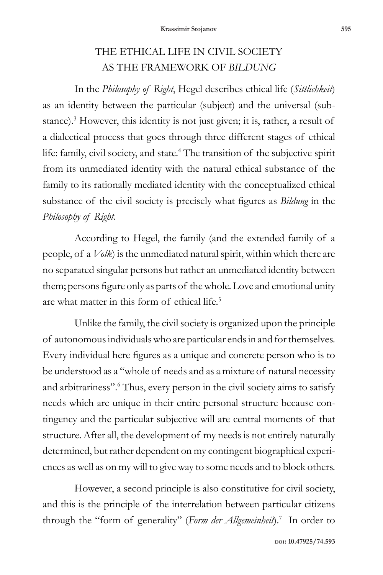## THE ETHICAL LIFE IN CIVIL SOCIETY AS THE FRAMEWORK OF *BILDUNG*

In the *Philosophy of Right*, Hegel describes ethical life (*Sittlichkeit*) as an identity between the particular (subject) and the universal (substance).<sup>3</sup> However, this identity is not just given; it is, rather, a result of a dialectical process that goes through three different stages of ethical life: family, civil society, and state.4 The transition of the subjective spirit from its unmediated identity with the natural ethical substance of the family to its rationally mediated identity with the conceptualized ethical substance of the civil society is precisely what figures as *Bildung* in the *Philosophy of Right*.

According to Hegel, the family (and the extended family of a people, of a *Volk*) is the unmediated natural spirit, within which there are no separated singular persons but rather an unmediated identity between them; persons figure only as parts of the whole. Love and emotional unity are what matter in this form of ethical life.5

Unlike the family, the civil society is organized upon the principle of autonomous individuals who are particular ends in and for themselves. Every individual here figures as a unique and concrete person who is to be understood as a "whole of needs and as a mixture of natural necessity and arbitrariness".<sup>6</sup> Thus, every person in the civil society aims to satisfy needs which are unique in their entire personal structure because contingency and the particular subjective will are central moments of that structure. After all, the development of my needs is not entirely naturally determined, but rather dependent on my contingent biographical experiences as well as on my will to give way to some needs and to block others.

However, a second principle is also constitutive for civil society, and this is the principle of the interrelation between particular citizens through the "form of generality" (*Form der Allgemeinheit*).7 In order to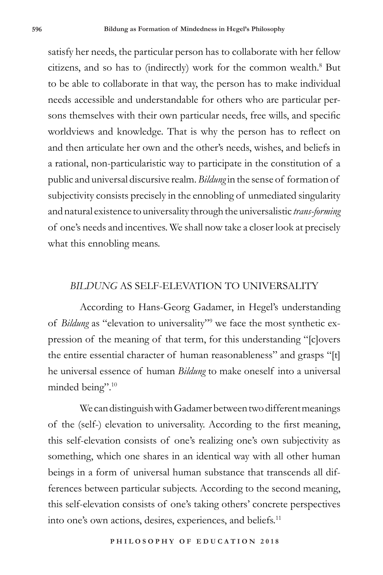satisfy her needs, the particular person has to collaborate with her fellow citizens, and so has to (indirectly) work for the common wealth.<sup>8</sup> But to be able to collaborate in that way, the person has to make individual needs accessible and understandable for others who are particular persons themselves with their own particular needs, free wills, and specific worldviews and knowledge. That is why the person has to reflect on and then articulate her own and the other's needs, wishes, and beliefs in a rational, non-particularistic way to participate in the constitution of a public and universal discursive realm. *Bildung* in the sense of formation of subjectivity consists precisely in the ennobling of unmediated singularity and natural existence to universality through the universalistic *trans-forming* of one's needs and incentives. We shall now take a closer look at precisely what this ennobling means.

#### *BILDUNG* AS SELF-ELEVATION TO UNIVERSALITY

According to Hans-Georg Gadamer, in Hegel's understanding of *Bildung* as "elevation to universality"<sup>9</sup> we face the most synthetic expression of the meaning of that term, for this understanding "[c]overs the entire essential character of human reasonableness" and grasps "[t] he universal essence of human *Bildung* to make oneself into a universal minded being".10

We can distinguish with Gadamer between two different meanings of the (self-) elevation to universality. According to the first meaning, this self-elevation consists of one's realizing one's own subjectivity as something, which one shares in an identical way with all other human beings in a form of universal human substance that transcends all differences between particular subjects. According to the second meaning, this self-elevation consists of one's taking others' concrete perspectives into one's own actions, desires, experiences, and beliefs.11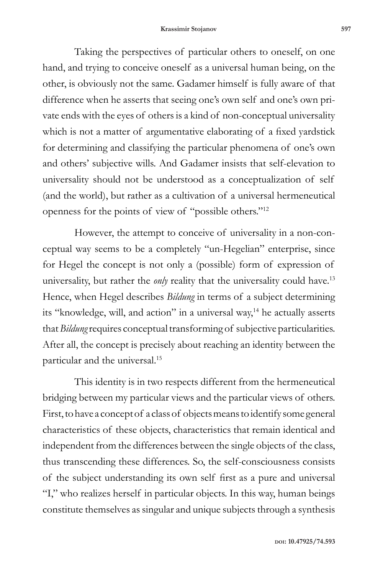Taking the perspectives of particular others to oneself, on one hand, and trying to conceive oneself as a universal human being, on the other, is obviously not the same. Gadamer himself is fully aware of that difference when he asserts that seeing one's own self and one's own private ends with the eyes of others is a kind of non-conceptual universality which is not a matter of argumentative elaborating of a fixed yardstick for determining and classifying the particular phenomena of one's own and others' subjective wills. And Gadamer insists that self-elevation to universality should not be understood as a conceptualization of self (and the world), but rather as a cultivation of a universal hermeneutical openness for the points of view of "possible others."12

However, the attempt to conceive of universality in a non-conceptual way seems to be a completely "un-Hegelian" enterprise, since for Hegel the concept is not only a (possible) form of expression of universality, but rather the *only* reality that the universality could have.<sup>13</sup> Hence, when Hegel describes *Bildung* in terms of a subject determining its "knowledge, will, and action" in a universal way,<sup>14</sup> he actually asserts that *Bildung* requires conceptual transforming of subjective particularities. After all, the concept is precisely about reaching an identity between the particular and the universal.15

This identity is in two respects different from the hermeneutical bridging between my particular views and the particular views of others. First, to have a concept of a class of objects means to identify some general characteristics of these objects, characteristics that remain identical and independent from the differences between the single objects of the class, thus transcending these differences. So, the self-consciousness consists of the subject understanding its own self first as a pure and universal "I," who realizes herself in particular objects. In this way, human beings constitute themselves as singular and unique subjects through a synthesis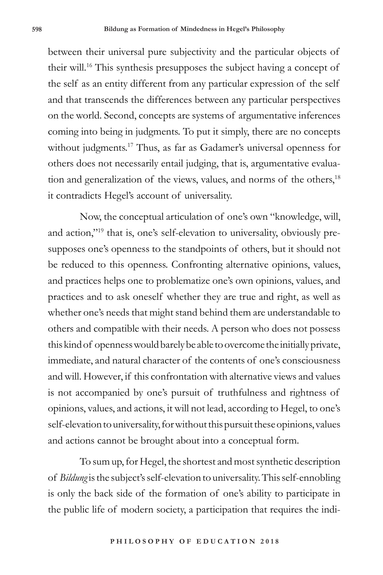between their universal pure subjectivity and the particular objects of their will.16 This synthesis presupposes the subject having a concept of the self as an entity different from any particular expression of the self and that transcends the differences between any particular perspectives on the world. Second, concepts are systems of argumentative inferences coming into being in judgments. To put it simply, there are no concepts without judgments.<sup>17</sup> Thus, as far as Gadamer's universal openness for others does not necessarily entail judging, that is, argumentative evaluation and generalization of the views, values, and norms of the others,<sup>18</sup> it contradicts Hegel's account of universality.

Now, the conceptual articulation of one's own "knowledge, will, and action,"19 that is, one's self-elevation to universality, obviously presupposes one's openness to the standpoints of others, but it should not be reduced to this openness. Confronting alternative opinions, values, and practices helps one to problematize one's own opinions, values, and practices and to ask oneself whether they are true and right, as well as whether one's needs that might stand behind them are understandable to others and compatible with their needs. A person who does not possess this kind of openness would barely be able to overcome the initially private, immediate, and natural character of the contents of one's consciousness and will. However, if this confrontation with alternative views and values is not accompanied by one's pursuit of truthfulness and rightness of opinions, values, and actions, it will not lead, according to Hegel, to one's self-elevation to universality, for without this pursuit these opinions, values and actions cannot be brought about into a conceptual form.

To sum up, for Hegel, the shortest and most synthetic description of *Bildung* is the subject's self-elevation to universality. This self-ennobling is only the back side of the formation of one's ability to participate in the public life of modern society, a participation that requires the indi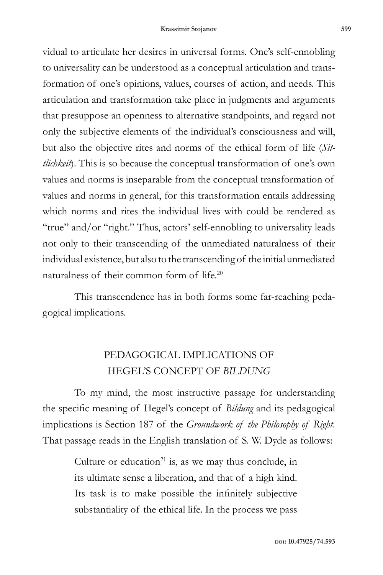vidual to articulate her desires in universal forms. One's self-ennobling to universality can be understood as a conceptual articulation and transformation of one's opinions, values, courses of action, and needs. This articulation and transformation take place in judgments and arguments that presuppose an openness to alternative standpoints, and regard not only the subjective elements of the individual's consciousness and will, but also the objective rites and norms of the ethical form of life (*Sittlichkeit*). This is so because the conceptual transformation of one's own values and norms is inseparable from the conceptual transformation of values and norms in general, for this transformation entails addressing which norms and rites the individual lives with could be rendered as "true" and/or "right." Thus, actors' self-ennobling to universality leads not only to their transcending of the unmediated naturalness of their individual existence, but also to the transcending of the initial unmediated naturalness of their common form of life.20

This transcendence has in both forms some far-reaching pedagogical implications.

### PEDAGOGICAL IMPLICATIONS OF HEGEL'S CONCEPT OF *BILDUNG*

To my mind, the most instructive passage for understanding the specific meaning of Hegel's concept of *Bildung* and its pedagogical implications is Section 187 of the *Groundwork of the Philosophy of Right*. That passage reads in the English translation of S. W. Dyde as follows:

> Culture or education<sup>21</sup> is, as we may thus conclude, in its ultimate sense a liberation, and that of a high kind. Its task is to make possible the infinitely subjective substantiality of the ethical life. In the process we pass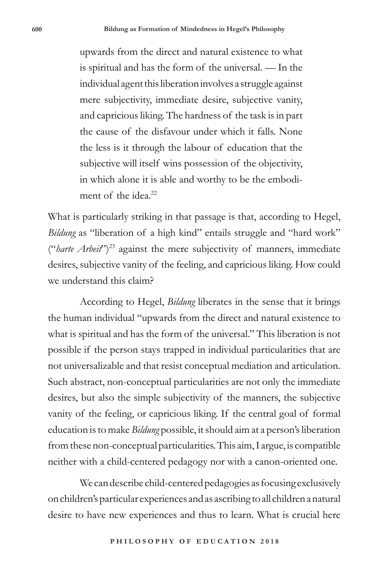upwards from the direct and natural existence to what is spiritual and has the form of the universal. — In the individual agent this liberation involves a struggle against mere subjectivity, immediate desire, subjective vanity, and capricious liking. The hardness of the task is in part the cause of the disfavour under which it falls. None the less is it through the labour of education that the subjective will itself wins possession of the objectivity, in which alone it is able and worthy to be the embodiment of the idea.<sup>22</sup>

What is particularly striking in that passage is that, according to Hegel, *Bildung* as "*liberation of a high kind*" entails struggle and "*hard work*" ("*harte Arbeit*")23 against the mere subjectivity of manners, immediate desires, subjective vanity of the feeling, and capricious liking. How could we understand this claim?

According to Hegel, *Bildung* liberates in the sense that it brings the human individual "upwards from the direct and natural existence to what is spiritual and has the form of the universal." This liberation is not possible if the person stays trapped in individual particularities that are not universalizable and that resist conceptual mediation and articulation. Such abstract, non-conceptual particularities are not only the immediate desires, but also the simple subjectivity of the manners, the subjective vanity of the feeling, or capricious liking. If the central goal of formal education is to make *Bildung* possible, it should aim at a person's liberation from these non-conceptual particularities. This aim, I argue, is compatible neither with a child-centered pedagogy nor with a canon-oriented one.

We can describe child-centered pedagogies as focusing exclusively on children's particular experiences and as ascribing to all children a natural desire to have new experiences and thus to learn. What is crucial here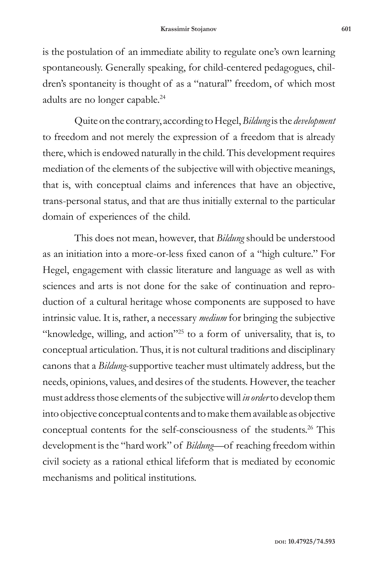is the postulation of an immediate ability to regulate one's own learning spontaneously. Generally speaking, for child-centered pedagogues, children's spontaneity is thought of as a "natural" freedom, of which most adults are no longer capable.<sup>24</sup>

Quite on the contrary, according to Hegel, *Bildung* is the *development* to freedom and not merely the expression of a freedom that is already there, which is endowed naturally in the child. This development requires mediation of the elements of the subjective will with objective meanings, that is, with conceptual claims and inferences that have an objective, trans-personal status, and that are thus initially external to the particular domain of experiences of the child.

This does not mean, however, that *Bildung* should be understood as an initiation into a more-or-less fixed canon of a "high culture." For Hegel, engagement with classic literature and language as well as with sciences and arts is not done for the sake of continuation and reproduction of a cultural heritage whose components are supposed to have intrinsic value. It is, rather, a necessary *medium* for bringing the subjective "knowledge, willing, and action"25 to a form of universality, that is, to conceptual articulation. Thus, it is not cultural traditions and disciplinary canons that a *Bildung*-supportive teacher must ultimately address, but the needs, opinions, values, and desires of the students. However, the teacher must address those elements of the subjective will *in order* to develop them into objective conceptual contents and to make them available as objective conceptual contents for the self-consciousness of the students.<sup>26</sup> This development is the "hard work" of *Bildung*—of reaching freedom within civil society as a rational ethical lifeform that is mediated by economic mechanisms and political institutions.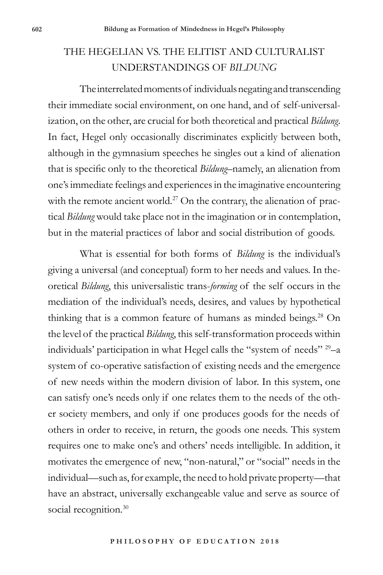# THE HEGELIAN VS. THE ELITIST AND CULTURALIST UNDERSTANDINGS OF *BILDUNG*

The interrelated moments of individuals negating and transcending their immediate social environment, on one hand, and of self-universalization, on the other, are crucial for both theoretical and practical *Bildung*. In fact, Hegel only occasionally discriminates explicitly between both, although in the gymnasium speeches he singles out a kind of alienation that is specific only to the theoretical *Bildung*–namely, an alienation from one's immediate feelings and experiences in the imaginative encountering with the remote ancient world.<sup>27</sup> On the contrary, the alienation of practical *Bildung* would take place not in the imagination or in contemplation, but in the material practices of labor and social distribution of goods.

What is essential for both forms of *Bildung* is the individual's giving a universal (and conceptual) form to her needs and values. In theoretical *Bildung*, this universalistic trans-*forming* of the self occurs in the mediation of the individual's needs, desires, and values by hypothetical thinking that is a common feature of humans as minded beings.<sup>28</sup> On the level of the practical *Bildung*, this self-transformation proceeds within individuals' participation in what Hegel calls the "system of needs" 29–a system of co-operative satisfaction of existing needs and the emergence of new needs within the modern division of labor. In this system, one can satisfy one's needs only if one relates them to the needs of the other society members, and only if one produces goods for the needs of others in order to receive, in return, the goods one needs. This system requires one to make one's and others' needs intelligible. In addition, it motivates the emergence of new, "non-natural," or "social" needs in the individual—such as, for example, the need to hold private property—that have an abstract, universally exchangeable value and serve as source of social recognition.<sup>30</sup>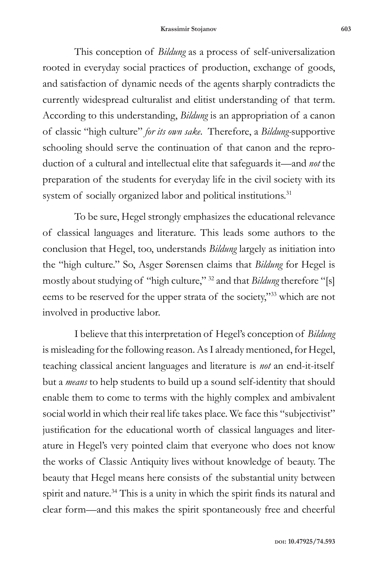This conception of *Bildung* as a process of self-universalization rooted in everyday social practices of production, exchange of goods, and satisfaction of dynamic needs of the agents sharply contradicts the currently widespread culturalist and elitist understanding of that term. According to this understanding, *Bildung* is an appropriation of a canon of classic "high culture" *for its own sake*. Therefore, a *Bildung-*supportive schooling should serve the continuation of that canon and the reproduction of a cultural and intellectual elite that safeguards it—and *not* the preparation of the students for everyday life in the civil society with its system of socially organized labor and political institutions.<sup>31</sup>

To be sure, Hegel strongly emphasizes the educational relevance of classical languages and literature. This leads some authors to the conclusion that Hegel, too, understands *Bildung* largely as initiation into the "high culture." So, Asger Sørensen claims that *Bildung* for Hegel is mostly about studying of "high culture," 32 and that *Bildung* therefore "[s] eems to be reserved for the upper strata of the society,"33 which are not involved in productive labor.

I believe that this interpretation of Hegel's conception of *Bildung* is misleading for the following reason. As I already mentioned, for Hegel, teaching classical ancient languages and literature is *not* an end-it-itself but a *means* to help students to build up a sound self-identity that should enable them to come to terms with the highly complex and ambivalent social world in which their real life takes place. We face this "subjectivist" justification for the educational worth of classical languages and literature in Hegel's very pointed claim that everyone who does not know the works of Classic Antiquity lives without knowledge of beauty. The beauty that Hegel means here consists of the substantial unity between spirit and nature.<sup>34</sup> This is a unity in which the spirit finds its natural and clear form—and this makes the spirit spontaneously free and cheerful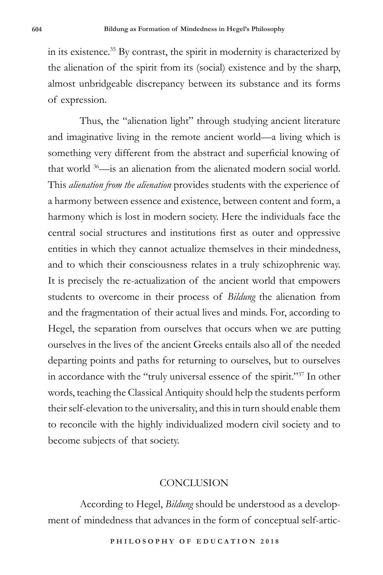in its existence.35 By contrast, the spirit in modernity is characterized by the alienation of the spirit from its (social) existence and by the sharp, almost unbridgeable discrepancy between its substance and its forms of expression.

Thus, the "alienation light" through studying ancient literature and imaginative living in the remote ancient world—a living which is something very different from the abstract and superficial knowing of that world 36—is an alienation from the alienated modern social world. This *alienation from the alienation* provides students with the experience of a harmony between essence and existence, between content and form, a harmony which is lost in modern society. Here the individuals face the central social structures and institutions first as outer and oppressive entities in which they cannot actualize themselves in their mindedness, and to which their consciousness relates in a truly schizophrenic way. It is precisely the re-actualization of the ancient world that empowers students to overcome in their process of *Bildung* the alienation from and the fragmentation of their actual lives and minds. For, according to Hegel, the separation from ourselves that occurs when we are putting ourselves in the lives of the ancient Greeks entails also all of the needed departing points and paths for returning to ourselves, but to ourselves in accordance with the "truly universal essence of the spirit."37 In other words, teaching the Classical Antiquity should help the students perform their self-elevation to the universality, and this in turn should enable them to reconcile with the highly individualized modern civil society and to become subjects of that society.

#### CONCLUSION

According to Hegel, *Bildung* should be understood as a development of mindedness that advances in the form of conceptual self-artic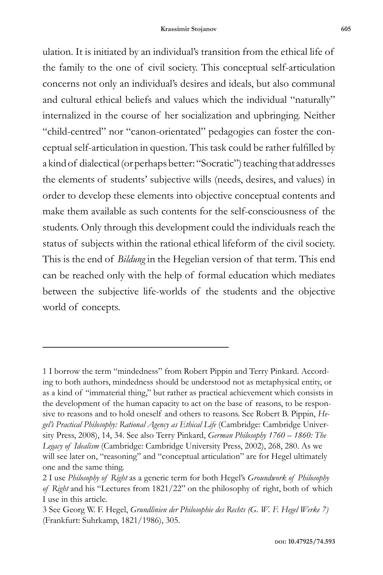ulation. It is initiated by an individual's transition from the ethical life of the family to the one of civil society. This conceptual self-articulation concerns not only an individual's desires and ideals, but also communal and cultural ethical beliefs and values which the individual "naturally" internalized in the course of her socialization and upbringing. Neither "child-centred" nor "canon-orientated" pedagogies can foster the conceptual self-articulation in question. This task could be rather fulfilled by a kind of dialectical (or perhaps better: "Socratic") teaching that addresses the elements of students' subjective wills (needs, desires, and values) in order to develop these elements into objective conceptual contents and make them available as such contents for the self-consciousness of the students. Only through this development could the individuals reach the status of subjects within the rational ethical lifeform of the civil society. This is the end of *Bildung* in the Hegelian version of that term. This end can be reached only with the help of formal education which mediates between the subjective life-worlds of the students and the objective world of concepts.

<sup>1</sup> I borrow the term "mindedness" from Robert Pippin and Terry Pinkard. According to both authors, mindedness should be understood not as metaphysical entity, or as a kind of "immaterial thing," but rather as practical achievement which consists in the development of the human capacity to act on the base of reasons, to be responsive to reasons and to hold oneself and others to reasons. See Robert B. Pippin, *Hegel's Practical Philosophy: Rational Agency as Ethical Life* (Cambridge: Cambridge University Press, 2008), 14, 34. See also Terry Pinkard, *German Philosophy 1760 – 1860: The Legacy of Idealism* (Cambridge: Cambridge University Press, 2002), 268, 280. As we will see later on, "reasoning" and "conceptual articulation" are for Hegel ultimately one and the same thing.

<sup>2</sup> I use *Philosophy of Right* as a generic term for both Hegel's *Groundwork of Philosophy of Right* and his "Lectures from 1821/22" on the philosophy of right, both of which I use in this article.

<sup>3</sup> See Georg W. F. Hegel, *Grundlinien der Philosophie des Rechts (G. W. F. Hegel Werke 7)* (Frankfurt: Suhrkamp, 1821/1986), 305.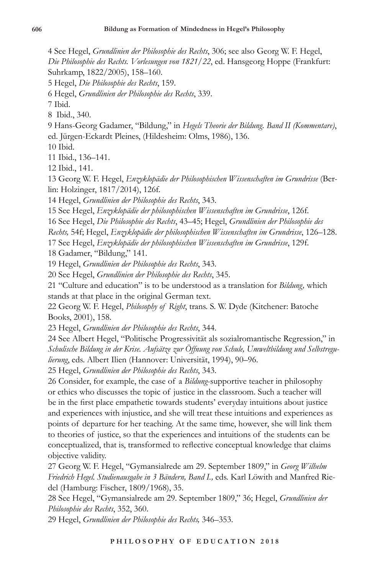4 See Hegel, *Grundlinien der Philosophie des Rechts*, 306; see also Georg W. F. Hegel, *Die Philosophie des Rechts. Vorlesungen von 1821/22*, ed. Hansgeorg Hoppe (Frankfurt: Suhrkamp, 1822/2005), 158–160.

5 Hegel, *Die Philosophie des Rechts*, 159.

6 Hegel, *Grundlinien der Philosophie des Rechts*, 339.

7 Ibid.

8 Ibid., 340.

9 Hans-Georg Gadamer, "Bildung," in *Hegels Theorie der Bildung. Band II (Kommentare)*, ed. Jürgen-Eckardt Pleines, (Hildesheim: Olms, 1986), 136.

10 Ibid.

11 Ibid., 136–141.

12 Ibid., 141.

13 Georg W. F. Hegel, *Enzyklopädie der Philosophischen Wissenschaften im Grundrisse* (Berlin: Holzinger, 1817/2014), 126f.

14 Hegel, *Grundlinien der Philosophie des Rechts*, 343.

15 See Hegel, *Enzyklopädie der philosophischen Wissenschaften im Grundrisse*, 126f.

16 See Hegel, *Die Philosophie des Rechts*, 43–45; Hegel, *Grundlinien der Philosophie des* 

*Rechts,* 54f; Hegel, *Enzyklopädie der philosophischen Wissenschaften im Grundrisse*, 126–128.

17 See Hegel, *Enzyklopädie der philosophischen Wissenschaften im Grundrisse*, 129f.

18 Gadamer, "Bildung," 141.

19 Hegel, *Grundlinien der Philosophie des Rechts*, 343.

20 See Hegel, *Grundlinien der Philosophie des Rechts*, 345.

21 "Culture and education" is to be understood as a translation for *Bildung,* which stands at that place in the original German text.

22 Georg W. F. Hegel, *Philosophy of Right*, trans. S. W. Dyde (Kitchener: Batoche Books, 2001), 158.

23 Hegel, *Grundlinien der Philosophie des Rechts*, 344.

24 See Albert Hegel, "Politische Progressivität als sozialromantische Regression," in *Schulische Bildung in der Krise. Aufsätze zur Öffnung von Schule, Umweltbildung und Selbstregulierung*, eds. Albert Ilien (Hannover: Universität, 1994), 90–96.

25 Hegel, *Grundlinien der Philosophie des Rechts*, 343.

26 Consider, for example, the case of a *Bildung*-supportive teacher in philosophy or ethics who discusses the topic of justice in the classroom. Such a teacher will be in the first place empathetic towards students' everyday intuitions about justice and experiences with injustice, and she will treat these intuitions and experiences as points of departure for her teaching. At the same time, however, she will link them to theories of justice, so that the experiences and intuitions of the students can be conceptualized, that is, transformed to reflective conceptual knowledge that claims objective validity.

27 Georg W. F. Hegel, "Gymansialrede am 29. September 1809," in *Georg Wilhelm Friedrich Hegel. Studienausgabe in 3 Bändern, Band I.,* eds. Karl Löwith and Manfred Riedel (Hamburg: Fischer, 1809/1968), 35.

28 See Hegel, "Gymansialrede am 29. September 1809," 36; Hegel, *Grundlinien der Philosophie des Rechts*, 352, 360.

29 Hegel, *Grundlinien der Philosophie des Rechts,* 346–353.